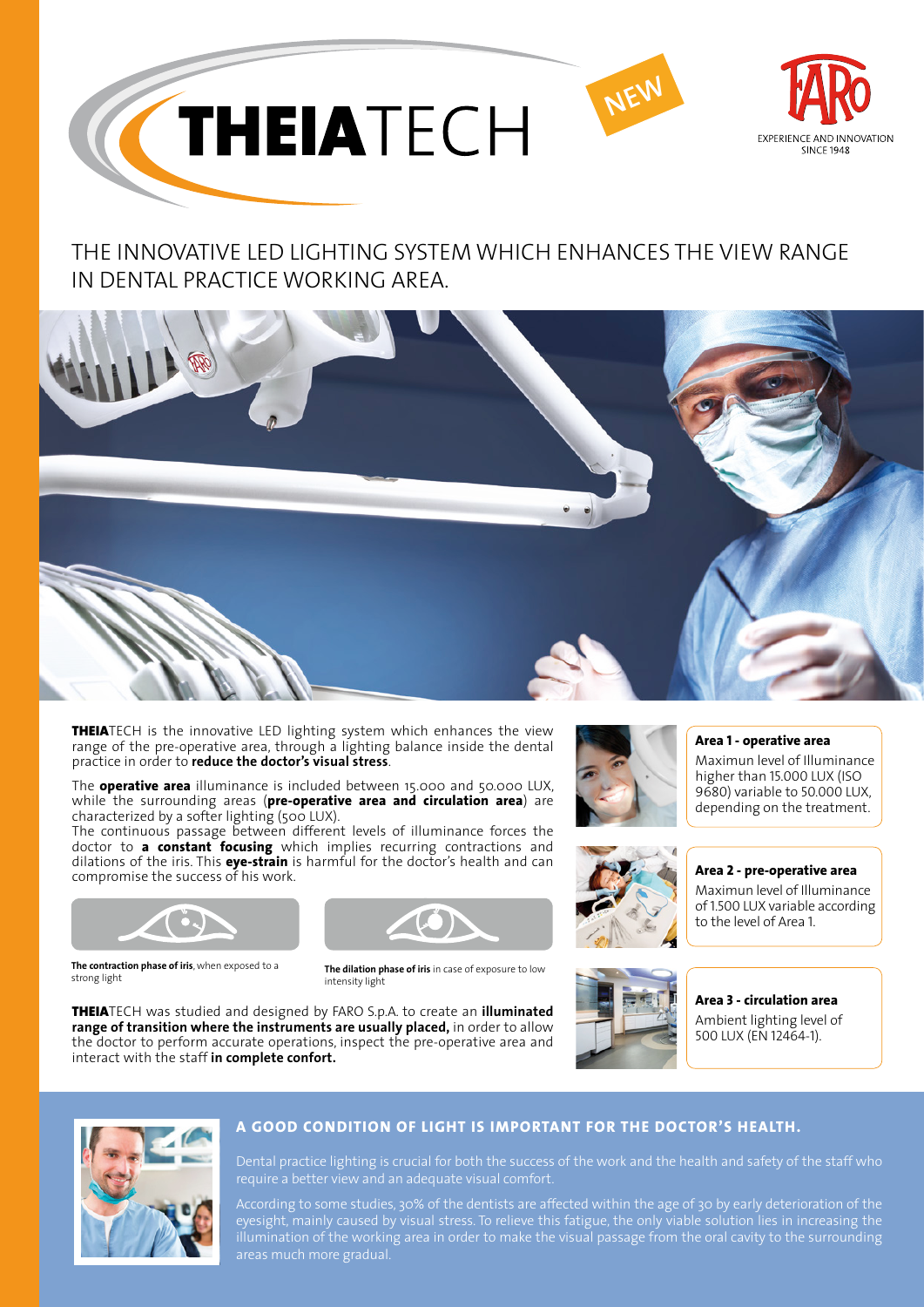

## THE INNOVATIVE LED LIGHTING SYSTEM WHICH ENHANCES THE VIEW RANGE IN DENTAL PRACTICE WORKING AREA.



**THEIA**TECH is the innovative LED lighting system which enhances the view range of the pre-operative area, through a lighting balance inside the dental practice in order to **reduce the doctor's visual stress**.

The **operative area** illuminance is included between 15.000 and 50.000 LUX, while the surrounding areas (**pre-operative area and circulation area**) are characterized by a softer lighting (500 LUX).

The continuous passage between different levels of illuminance forces the doctor to **a constant focusing** which implies recurring contractions and dilations of the iris. This **eye-strain** is harmful for the doctor's health and can compromise the success of his work.



**The contraction phase of iris**, when exposed to a



The dilation phase of iris in case of exposure to low intensity light

THEIATECH was studied and designed by FARO S.p.A. to create an **illuminated range of transition where the instruments are usually placed,** in order to allow the doctor to perform accurate operations, inspect the pre-operative area and interact with the staff **in complete confort.**







**Area 1 - operative area** Maximun level of Illuminance

higher than 15.000 LUX (ISO 9680) variable to 50.000 LUX, depending on the treatment.

**Area 2 - pre-operative area**

Maximun level of Illuminance of 1.500 LUX variable according to the level of Area 1.

**Area 3 - circulation area** Ambient lighting level of 500 LUX (EN 12464-1).



## **A GOOD CONDITION OF LIGHT IS IMPORTANT FOR THE DOCTOR'S HEALTH.**

Dental practice lighting is crucial for both the success of the work and the health and safety of the staff who

According to some studies, 30% of the dentists are affected within the age of 30 by early deterioration of the eyesight, mainly caused by visual stress. To relieve this fatigue, the only viable solution lies in increasing the illumination of the working area in order to make the visual passage from the oral cavity to the surrounding areas much more gradual.